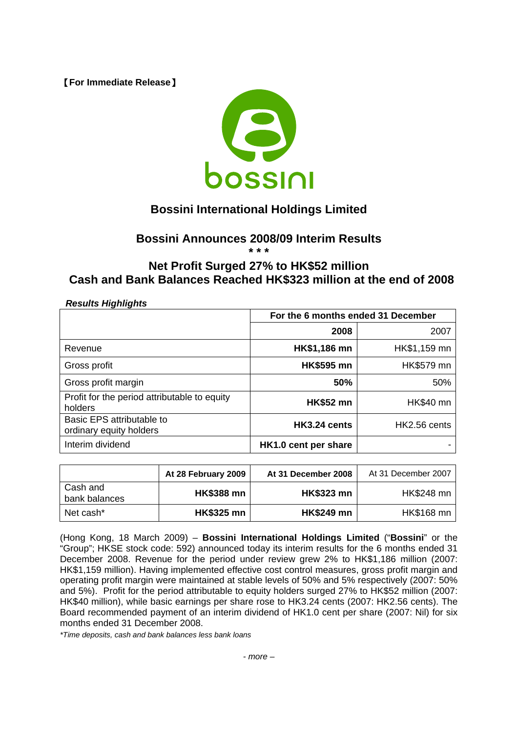【**For Immediate Release**】



## **Bossini International Holdings Limited**

## **Bossini Announces 2008/09 Interim Results**

**\* \* \*** 

## **Net Profit Surged 27% to HK\$52 million Cash and Bank Balances Reached HK\$323 million at the end of 2008**

| <b>Results Highlights</b>                               |                                    |                  |  |
|---------------------------------------------------------|------------------------------------|------------------|--|
|                                                         | For the 6 months ended 31 December |                  |  |
|                                                         | 2008                               | 2007             |  |
| Revenue                                                 | HK\$1,186 mn                       | HK\$1,159 mn     |  |
| Gross profit                                            | <b>HK\$595 mn</b>                  | HK\$579 mn       |  |
| Gross profit margin                                     | 50%                                | 50%              |  |
| Profit for the period attributable to equity<br>holders | <b>HK\$52 mn</b>                   | <b>HK\$40 mn</b> |  |
| Basic EPS attributable to<br>ordinary equity holders    | HK3.24 cents                       | HK2.56 cents     |  |
| Interim dividend                                        | HK1.0 cent per share               |                  |  |

|                           | At 28 February 2009 | At 31 December 2008 | At 31 December 2007 |
|---------------------------|---------------------|---------------------|---------------------|
| Cash and<br>bank balances | <b>HK\$388 mn</b>   | <b>HK\$323 mn</b>   | HK\$248 mn          |
| Net cash*                 | <b>HK\$325 mn</b>   | <b>HK\$249 mn</b>   | HK\$168 mn          |

(Hong Kong, 18 March 2009) – **Bossini International Holdings Limited** ("**Bossini**" or the "Group"; HKSE stock code: 592) announced today its interim results for the 6 months ended 31 December 2008. Revenue for the period under review grew 2% to HK\$1,186 million (2007: HK\$1,159 million). Having implemented effective cost control measures, gross profit margin and operating profit margin were maintained at stable levels of 50% and 5% respectively (2007: 50% and 5%). Profit for the period attributable to equity holders surged 27% to HK\$52 million (2007: HK\$40 million), while basic earnings per share rose to HK3.24 cents (2007: HK2.56 cents). The Board recommended payment of an interim dividend of HK1.0 cent per share (2007: Nil) for six months ended 31 December 2008.

*\*Time deposits, cash and bank balances less bank loans*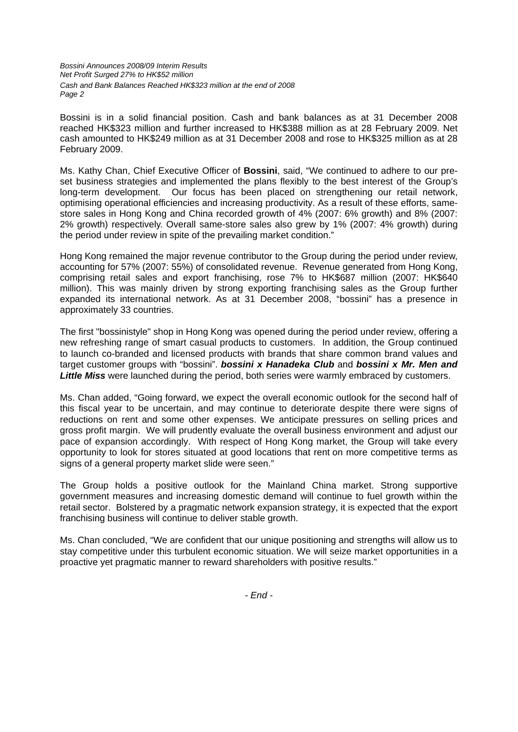*Bossini Announces 2008/09 Interim Results Net Profit Surged 27% to HK\$52 million Cash and Bank Balances Reached HK\$323 million at the end of 2008 Page 2* 

Bossini is in a solid financial position. Cash and bank balances as at 31 December 2008 reached HK\$323 million and further increased to HK\$388 million as at 28 February 2009. Net cash amounted to HK\$249 million as at 31 December 2008 and rose to HK\$325 million as at 28 February 2009.

Ms. Kathy Chan, Chief Executive Officer of **Bossini**, said, "We continued to adhere to our preset business strategies and implemented the plans flexibly to the best interest of the Group's long-term development. Our focus has been placed on strengthening our retail network, optimising operational efficiencies and increasing productivity. As a result of these efforts, samestore sales in Hong Kong and China recorded growth of 4% (2007: 6% growth) and 8% (2007: 2% growth) respectively. Overall same-store sales also grew by 1% (2007: 4% growth) during the period under review in spite of the prevailing market condition."

Hong Kong remained the major revenue contributor to the Group during the period under review, accounting for 57% (2007: 55%) of consolidated revenue. Revenue generated from Hong Kong, comprising retail sales and export franchising, rose 7% to HK\$687 million (2007: HK\$640 million). This was mainly driven by strong exporting franchising sales as the Group further expanded its international network. As at 31 December 2008, "bossini" has a presence in approximately 33 countries.

The first "bossinistyle" shop in Hong Kong was opened during the period under review, offering a new refreshing range of smart casual products to customers. In addition, the Group continued to launch co-branded and licensed products with brands that share common brand values and target customer groups with "bossini". *bossini x Hanadeka Club* and *bossini x Mr. Men and Little Miss* were launched during the period, both series were warmly embraced by customers.

Ms. Chan added, "Going forward, we expect the overall economic outlook for the second half of this fiscal year to be uncertain, and may continue to deteriorate despite there were signs of reductions on rent and some other expenses. We anticipate pressures on selling prices and gross profit margin. We will prudently evaluate the overall business environment and adjust our pace of expansion accordingly. With respect of Hong Kong market, the Group will take every opportunity to look for stores situated at good locations that rent on more competitive terms as signs of a general property market slide were seen."

The Group holds a positive outlook for the Mainland China market. Strong supportive government measures and increasing domestic demand will continue to fuel growth within the retail sector. Bolstered by a pragmatic network expansion strategy, it is expected that the export franchising business will continue to deliver stable growth.

Ms. Chan concluded, "We are confident that our unique positioning and strengths will allow us to stay competitive under this turbulent economic situation. We will seize market opportunities in a proactive yet pragmatic manner to reward shareholders with positive results."

*- End -*